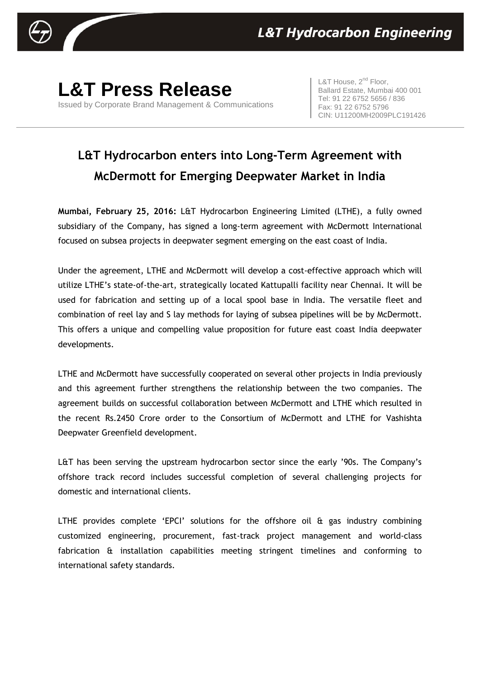

**L&T Press Release** Issued by Corporate Brand Management & Communications L&T House,  $2^{nd}$  Floor, Ballard Estate, Mumbai 400 001 Tel: 91 22 6752 5656 / 836 Fax: 91 22 6752 5796 CIN: U11200MH2009PLC191426

## **L&T Hydrocarbon enters into Long-Term Agreement with McDermott for Emerging Deepwater Market in India**

**Mumbai, February 25, 2016:** L&T Hydrocarbon Engineering Limited (LTHE), a fully owned subsidiary of the Company, has signed a long-term agreement with McDermott International focused on subsea projects in deepwater segment emerging on the east coast of India.

Under the agreement, LTHE and McDermott will develop a cost-effective approach which will utilize LTHE's state-of-the-art, strategically located Kattupalli facility near Chennai. It will be used for fabrication and setting up of a local spool base in India. The versatile fleet and combination of reel lay and S lay methods for laying of subsea pipelines will be by McDermott. This offers a unique and compelling value proposition for future east coast India deepwater developments.

LTHE and McDermott have successfully cooperated on several other projects in India previously and this agreement further strengthens the relationship between the two companies. The agreement builds on successful collaboration between McDermott and LTHE which resulted in the recent Rs.2450 Crore order to the Consortium of McDermott and LTHE for Vashishta Deepwater Greenfield development.

L&T has been serving the upstream hydrocarbon sector since the early '90s. The Company's offshore track record includes successful completion of several challenging projects for domestic and international clients.

LTHE provides complete 'EPCI' solutions for the offshore oil & gas industry combining customized engineering, procurement, fast-track project management and world-class fabrication & installation capabilities meeting stringent timelines and conforming to international safety standards.